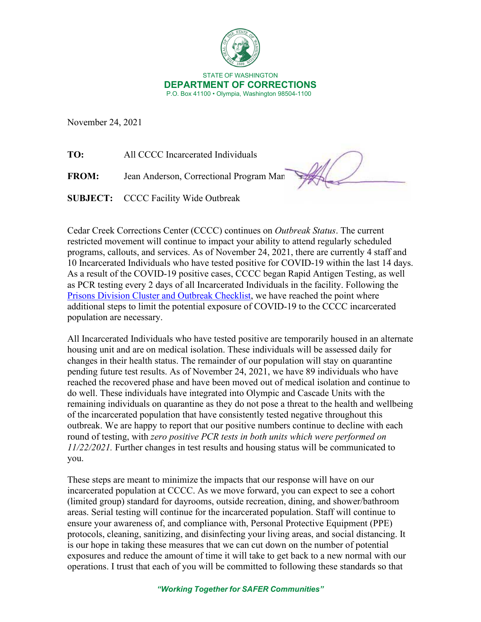

November 24, 2021

**TO:** All CCCC Incarcerated Individuals

**FROM:** Jean Anderson, Correctional Program Man

**SUBJECT:** CCCC Facility Wide Outbreak

Cedar Creek Corrections Center (CCCC) continues on *Outbreak Status*. The current restricted movement will continue to impact your ability to attend regularly scheduled programs, callouts, and services. As of November 24, 2021, there are currently 4 staff and 10 Incarcerated Individuals who have tested positive for COVID-19 within the last 14 days. As a result of the COVID-19 positive cases, CCCC began Rapid Antigen Testing, as well as PCR testing every 2 days of all Incarcerated Individuals in the facility. Following the [Prisons Division Cluster and Outbreak Checklist,](https://doc.wa.gov/corrections/covid-19/docs/outbreak-checklist.pdf) we have reached the point where additional steps to limit the potential exposure of COVID-19 to the CCCC incarcerated population are necessary.

All Incarcerated Individuals who have tested positive are temporarily housed in an alternate housing unit and are on medical isolation. These individuals will be assessed daily for changes in their health status. The remainder of our population will stay on quarantine pending future test results. As of November 24, 2021, we have 89 individuals who have reached the recovered phase and have been moved out of medical isolation and continue to do well. These individuals have integrated into Olympic and Cascade Units with the remaining individuals on quarantine as they do not pose a threat to the health and wellbeing of the incarcerated population that have consistently tested negative throughout this outbreak. We are happy to report that our positive numbers continue to decline with each round of testing, with *zero positive PCR tests in both units which were performed on 11/22/2021.* Further changes in test results and housing status will be communicated to you.

These steps are meant to minimize the impacts that our response will have on our incarcerated population at CCCC. As we move forward, you can expect to see a cohort (limited group) standard for dayrooms, outside recreation, dining, and shower/bathroom areas. Serial testing will continue for the incarcerated population. Staff will continue to ensure your awareness of, and compliance with, Personal Protective Equipment (PPE) protocols, cleaning, sanitizing, and disinfecting your living areas, and social distancing. It is our hope in taking these measures that we can cut down on the number of potential exposures and reduce the amount of time it will take to get back to a new normal with our operations. I trust that each of you will be committed to following these standards so that